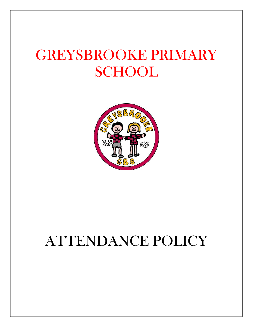# GREYSBROOKE PRIMARY **SCHOOL**



# ATTENDANCE POLICY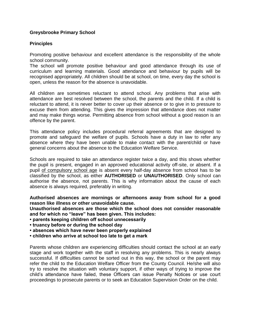#### **Greysbrooke Primary School**

#### **Principles**

Promoting positive behaviour and excellent attendance is the responsibility of the whole school community.

The school will promote positive behaviour and good attendance through its use of curriculum and learning materials. Good attendance and behaviour by pupils will be recognised appropriately. All children should be at school, on time, every day the school is open, unless the reason for the absence is unavoidable.

All children are sometimes reluctant to attend school. Any problems that arise with attendance are best resolved between the school, the parents and the child. If a child is reluctant to attend, it is never better to cover up their absence or to give in to pressure to excuse them from attending. This gives the impression that attendance does not matter and may make things worse. Permitting absence from school without a good reason is an offence by the parent.

This attendance policy includes procedural referral agreements that are designed to promote and safeguard the welfare of pupils. Schools have a duty in law to refer any absence where they have been unable to make contact with the parent/child or have general concerns about the absence to the Education Welfare Service.

Schools are required to take an attendance register twice a day, and this shows whether the pupil is present, engaged in an approved educational activity off-site, or absent. If a pupil of compulsory school age is absent every half-day absence from school has to be classified by the school, as either **AUTHORISED** or **UNAUTHORISED**. Only school can authorise the absence, not parents. This is why information about the cause of each absence is always required, preferably in writing.

**Authorised absences are mornings or afternoons away from school for a good reason like illness or other unavoidable cause.** 

**Unauthorised absences are those which the school does not consider reasonable and for which no "leave" has been given. This includes:** 

**• parents keeping children off school unnecessarily** 

**• truancy before or during the school day** 

**• absences which have never been properly explained** 

**• children who arrive at school too late to get a mark** 

Parents whose children are experiencing difficulties should contact the school at an early stage and work together with the staff in resolving any problems. This is nearly always successful. If difficulties cannot be sorted out in this way, the school or the parent may refer the child to the Education Welfare Officer from the County Council. He/she will also try to resolve the situation with voluntary support, if other ways of trying to improve the child's attendance have failed, these Officers can issue Penalty Notices or use court proceedings to prosecute parents or to seek an Education Supervision Order on the child.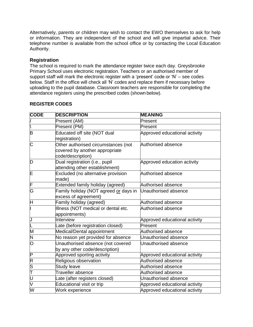Alternatively, parents or children may wish to contact the EWO themselves to ask for help or information. They are independent of the school and will give impartial advice. Their telephone number is available from the school office or by contacting the Local Education Authority.

#### **Registration**

The school is required to mark the attendance register twice each day. Greysbrooke Primary School uses electronic registration. Teachers or an authorised member of support staff will mark the electronic register with a 'present' code or 'N' – see codes below. Staff in the office will check all 'N' codes and replace them if necessary before uploading to the pupil database. Classroom teachers are responsible for completing the attendance registers using the prescribed codes (shown below).

| <b>CODE</b>             | <b>DESCRIPTION</b>                    | <b>MEANING</b>                |
|-------------------------|---------------------------------------|-------------------------------|
|                         | Present (AM)                          | Present                       |
|                         | Present (PM)                          | Present                       |
| $\overline{\mathsf{B}}$ | Educated off site (NOT dual           | Approved educational activity |
|                         | registration)                         |                               |
| C                       | Other authorised circumstances (not   | Authorised absence            |
|                         | covered by another appropriate        |                               |
|                         | code/description)                     |                               |
| D                       | Dual registration (i.e., pupil        | Approved education activity   |
|                         | attending other establishment)        |                               |
| E                       | Excluded (no alternative provision    | Authorised absence            |
|                         | made)                                 |                               |
| F                       | Extended family holiday (agreed)      | Authorised absence            |
| $\overline{\mathsf{G}}$ | Family holiday (NOT agreed or days in | Unauthorised absence          |
|                         | excess of agreement)                  |                               |
| Η                       | Family holiday (agreed)               | Authorised absence            |
|                         | Illness (NOT medical or dental etc.   | Authorised absence            |
|                         | appointments)                         |                               |
| J                       | <b>Interview</b>                      | Approved educational activity |
|                         | Late (before registration closed)     | Present                       |
| M                       | Medical/Dental appointment            | Authorised absence            |
| Z                       | No reason yet provided for absence    | Unauthorised absence          |
| O                       | Unauthorised absence (not covered     | Unauthorised absence          |
|                         | by any other code/description)        |                               |
| $\overline{\mathsf{P}}$ | Approved sporting activity            | Approved educational activity |
| $\overline{\mathsf{R}}$ | Religious observation                 | Authorised absence            |
| $rac{S}{T}$             | <b>Study leave</b>                    | Authorised absence            |
|                         | <b>Traveller absence</b>              | Authorised absence            |
| ັບ                      | Late (after registers closed)         | Unauthorised absence          |
| $\overline{\mathsf{V}}$ | Educational visit or trip             | Approved educational activity |
| $\overline{\mathsf{W}}$ | Work experience                       | Approved educational activity |

#### **REGISTER CODES**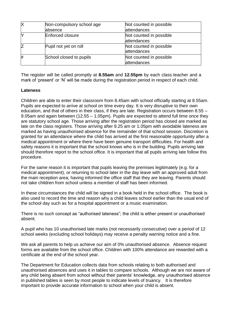| IX | Non-compulsory school age | Not counted in possible |
|----|---------------------------|-------------------------|
|    | absence                   | attendances             |
|    | Enforced closure          | Not counted in possible |
|    |                           | attendances             |
|    | Pupil not yet on roll     | Not counted in possible |
|    |                           | attendances             |
| #  | School closed to pupils   | Not counted in possible |
|    |                           | attendances             |

The register will be called promptly at **8.55am** and **12.55pm** by each class teacher and a mark of 'present' or 'N' will be made during the registration period in respect of each child.

#### **Lateness**

Children are able to enter their classroom from 8.45am with school officially starting at 8.55am. Pupils are expected to arrive at school on time every day. It is very disruptive to their own education, and that of others in their class, if they are late. Registration occurs between 8.55 – 9.05am and again between (12.55 – 1.05pm). Pupils are expected to attend full time once they are statutory school age. Those arriving after the registration period has closed are marked as late on the class registers. Those arriving after 9.25 am or 1.05pm with avoidable lateness are marked as having unauthorised absence for the remainder of that school session. Discretion is granted for an attendance where the child has arrived at the first reasonable opportunity after a medical appointment or where there have been genuine transport difficulties. For health and safety reasons it is important that the school knows who is in the building. Pupils arriving late should therefore report to the school office. It is important that all pupils arriving late follow this procedure.

For the same reason it is important that pupils leaving the premises legitimately (e.g. for a medical appointment), or returning to school later in the day leave with an approved adult from the main reception area; having informed the office staff that they are leaving. Parents should not take children from school unless a member of staff has been informed.

In these circumstances the child will be signed in a book held in the school office. The book is also used to record the time and reason why a child leaves school earlier than the usual end of the school day such as for a hospital appointment or a music examination.

There is no such concept as "authorised lateness"; the child is either present or unauthorised absent.

A pupil who has 10 unauthorised late marks (not necessarily consecutive) over a period of 12 school weeks (excluding school holidays) may receive a penalty warning notice and a fine.

We ask all parents to help us achieve our aim of 0% unauthorised absence. Absence request forms are available from the school office. Children with 100% attendance are rewarded with a certificate at the end of the school year.

The Department for Education collects data from schools relating to both authorised and unauthorised absences and uses it in tables to compare schools. Although we are not aware of any child being absent from school without their parents' knowledge, any unauthorised absence in published tables is seen by most people to indicate levels of truancy. It is therefore important to provide accurate information to school when your child is absent.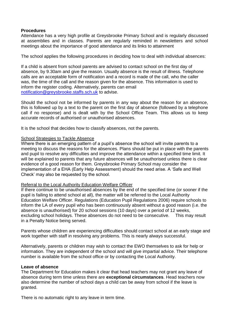#### **Procedures**

Attendance has a very high profile at Greysbrooke Primary School and is regularly discussed at assemblies and in classes. Parents are regularly reminded in newsletters and school meetings about the importance of good attendance and its links to attainment

The school applies the following procedures in deciding how to deal with individual absences:

If a child is absent from school parents are advised to contact school on the first day of absence, by 9.30am and give the reason. Usually absence is the result of illness. Telephone calls are an acceptable form of notification and a record is made of the call, who the caller was, the time of the call and the reason given for the absence. This information is used to inform the register coding. Alternatively, parents can email [notification@greysbrooke.staffs.sch.uk](mailto:notification@greysbrooke.staffs.sch.uk) to advise.

Should the school not be informed by parents in any way about the reason for an absence, this is followed up by a text to the parent on the first day of absence (followed by a telephone call if no response) and is dealt with by the School Office Team. This allows us to keep accurate records of authorised or unauthorised absences.

It is the school that decides how to classify absences, not the parents.

#### School Strategies to Tackle Absence

Where there is an emerging pattern of a pupil's absence the school will invite parents to a meeting to discuss the reasons for the absences. Plans should be put in place with the parents and pupil to resolve any difficulties and improve the attendance within a specified time limit. It will be explained to parents that any future absences will be unauthorised unless there is clear evidence of a good reason for them. Greysbrooke Primary School may consider the implementation of a EHA (Early Help Assessment) should the need arise. A 'Safe and Well Check' may also be requested by the school.

#### Referral to the Local Authority Education Welfare Officer

If there continue to be unauthorised absences by the end of the specified time (or sooner if the pupil is failing to attend school at all), the matter will be referred to the Local Authority Education Welfare Officer. Regulations (Education Pupil Regulations 2006) require schools to inform the LA of every pupil who has been continuously absent without a good reason (i.e. the absence is unauthorised) for 20 school sessions (10 days) over a period of 12 weeks, excluding school holidays. These absences do not need to be consecutive. This may result in a Penalty Notice being served.

Parents whose children are experiencing difficulties should contact school at an early stage and work together with staff in resolving any problems. This is nearly always successful.

Alternatively, parents or children may wish to contact the EWO themselves to ask for help or information. They are independent of the school and will give impartial advice. Their telephone number is available from the school office or by contacting the Local Authority.

#### **Leave of absence**

The Department for Education makes it clear that head teachers may not grant any leave of absence during term time unless there are **exceptional circumstances**. Head teachers now also determine the number of school days a child can be away from school if the leave is granted.

There is no automatic right to any leave in term time.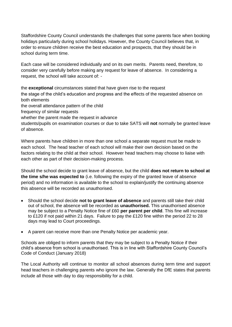Staffordshire County Council understands the challenges that some parents face when booking holidays particularly during school holidays. However, the County Council believes that, in order to ensure children receive the best education and prospects, that they should be in school during term time.

Each case will be considered individually and on its own merits. Parents need, therefore, to consider very carefully before making any request for leave of absence. In considering a request, the school will take account of: -

the **exceptional** circumstances stated that have given rise to the request the stage of the child's education and progress and the effects of the requested absence on both elements the overall attendance pattern of the child frequency of similar requests whether the parent made the request in advance students/pupils on examination courses or due to take SATS will **not** normally be granted leave of absence.

Where parents have children in more than one school a separate request must be made to each school. The head teacher of each school will make their own decision based on the factors relating to the child at their school. However head teachers may choose to liaise with each other as part of their decision-making process.

Should the school decide to grant leave of absence, but the child **does not return to school at the time s/he was expected to** (i.e. following the expiry of the granted leave of absence period) and no information is available to the school to explain/justify the continuing absence this absence will be recorded as unauthorised.

- Should the school decide **not to grant leave of absence** and parents still take their child out of school, the absence will be recorded as **unauthorised.** This unauthorised absence may be subject to a Penalty Notice fine of £60 **per parent per child**. This fine will increase to £120 if not paid within 21 days. Failure to pay the £120 fine within the period 22 to 28 days may lead to Court proceedings.
- A parent can receive more than one Penalty Notice per academic year.

Schools are obliged to inform parents that they may be subject to a Penalty Notice if their child's absence from school is unauthorised. This is in line with Staffordshire County Council's Code of Conduct (January 2018)

The Local Authority will continue to monitor all school absences during term time and support head teachers in challenging parents who ignore the law. Generally the DfE states that parents include all those with day to day responsibility for a child.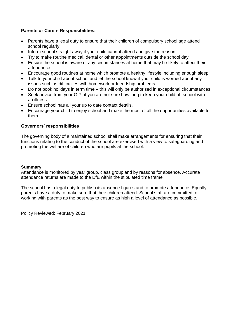#### **Parents or Carers Responsibilities:**

- Parents have a legal duty to ensure that their children of compulsory school age attend school regularly.
- Inform school straight away if your child cannot attend and give the reason.
- Try to make routine medical, dental or other appointments outside the school day
- Ensure the school is aware of any circumstances at home that may be likely to affect their attendance
- Encourage good routines at home which promote a healthy lifestyle including enough sleep
- Talk to your child about school and let the school know if your child is worried about any issues such as difficulties with homework or friendship problems.
- Do not book holidays in term time this will only be authorised in exceptional circumstances
- Seek advice from your G.P. if you are not sure how long to keep your child off school with an illness
- Ensure school has all your up to date contact details.
- Encourage your child to enjoy school and make the most of all the opportunities available to them.

#### **Governors' responsibilities**

The governing body of a maintained school shall make arrangements for ensuring that their functions relating to the conduct of the school are exercised with a view to safeguarding and promoting the welfare of children who are pupils at the school.

#### **Summary**

Attendance is monitored by year group, class group and by reasons for absence. Accurate attendance returns are made to the DfE within the stipulated time frame.

The school has a legal duty to publish its absence figures and to promote attendance. Equally, parents have a duty to make sure that their children attend. School staff are committed to working with parents as the best way to ensure as high a level of attendance as possible.

Policy Reviewed: February 2021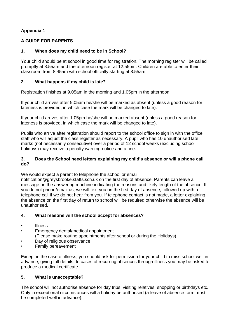#### **Appendix 1**

#### **A GUIDE FOR PARENTS**

#### **1. When does my child need to be in School?**

Your child should be at school in good time for registration. The morning register will be called promptly at 8.55am and the afternoon register at 12.55pm. Children are able to enter their classroom from 8.45am with school officially starting at 8.55am

#### **2. What happens if my child is late?**

Registration finishes at 9.05am in the morning and 1.05pm in the afternoon.

If your child arrives after 9.05am he/she will be marked as absent (unless a good reason for lateness is provided, in which case the mark will be changed to late).

If your child arrives after 1.05pm he/she will be marked absent (unless a good reason for lateness is provided, in which case the mark will be changed to late).

Pupils who arrive after registration should report to the school office to sign in with the office staff who will adjust the class register as necessary. A pupil who has 10 unauthorised late marks (not necessarily consecutive) over a period of 12 school weeks (excluding school holidays) may receive a penalty warning notice and a fine.

#### **3. Does the School need letters explaining my child's absence or will a phone call do?**

We would expect a parent to telephone the school or email

notification@greysbrooke.staffs.sch.uk on the first day of absence. Parents can leave a message on the answering machine indicating the reasons and likely length of the absence. If you do not phone/email us, we will text you on the first day of absence, followed up with a telephone call if we do not hear from you. If telephone contact is not made, a letter explaining the absence on the first day of return to school will be required otherwise the absence will be unauthorised.

#### **4. What reasons will the school accept for absences?**

- Illness
- Emergency dental/medical appointment (Please make routine appointments after school or during the Holidays)
- Day of religious observance
- Family bereavement

Except in the case of illness, you should ask for permission for your child to miss school well in advance, giving full details. In cases of recurring absences through illness you may be asked to produce a medical certificate.

#### **5. What is unacceptable?**

The school will not authorise absence for day trips, visiting relatives, shopping or birthdays etc. Only in exceptional circumstances will a holiday be authorised (a leave of absence form must be completed well in advance).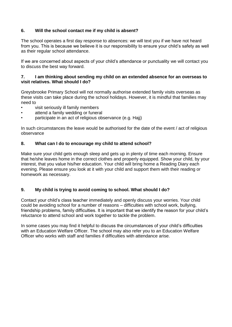#### **6. Will the school contact me if my child is absent?**

The school operates a first day response to absences: we will text you if we have not heard from you. This is because we believe it is our responsibility to ensure your child's safety as well as their regular school attendance.

If we are concerned about aspects of your child's attendance or punctuality we will contact you to discuss the best way forward.

#### **7. I am thinking about sending my child on an extended absence for an overseas to visit relatives. What should I do?**

Greysbrooke Primary School will not normally authorise extended family visits overseas as these visits can take place during the school holidays. However, it is mindful that families may need to

- visit seriously ill family members
- attend a family wedding or funeral
- participate in an act of religious observance (e.g. Hajj)

In such circumstances the leave would be authorised for the date of the event / act of religious observance

#### **8. What can I do to encourage my child to attend school?**

Make sure your child gets enough sleep and gets up in plenty of time each morning. Ensure that he/she leaves home in the correct clothes and properly equipped. Show your child, by your interest, that you value his/her education. Your child will bring home a Reading Diary each evening. Please ensure you look at it with your child and support them with their reading or homework as necessary.

#### **9. My child is trying to avoid coming to school. What should I do?**

Contact your child's class teacher immediately and openly discuss your worries. Your child could be avoiding school for a number of reasons – difficulties with school work, bullying, friendship problems, family difficulties. It is important that we identify the reason for your child's reluctance to attend school and work together to tackle the problem.

In some cases you may find it helpful to discuss the circumstances of your child's difficulties with an Education Welfare Officer. The school may also refer you to an Education Welfare Officer who works with staff and families if difficulties with attendance arise.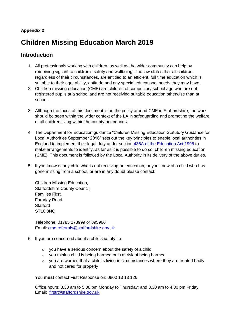#### **Appendix 2**

# **Children Missing Education March 2019**

## **Introduction**

- 1. All professionals working with children, as well as the wider community can help by remaining vigilant to children's safety and wellbeing. The law states that all children, regardless of their circumstances, are entitled to an efficient, full time education which is suitable to their age, ability, aptitude and any special educational needs they may have.
- 2. Children missing education (CME) are children of compulsory school age who are not registered pupils at a school and are not receiving suitable education otherwise than at school.
- 3. Although the focus of this document is on the policy around CME in Staffordshire, the work should be seen within the wider context of the LA in safeguarding and promoting the welfare of all children living within the county boundaries.
- 4. The Department for Education guidance "Children Missing Education Statutory Guidance for Local Authorities September 2016" sets out the key principles to enable local authorities in England to implement their legal duty under section [436A of the Education Act 1996](https://www.legislation.gov.uk/ukpga/1996/56/section/436A) to make arrangements to identify, as far as it is possible to do so, children missing education (CME). This document is followed by the Local Authority in its delivery of the above duties.
- 5. If you know of any child who is not receiving an education, or you know of a child who has gone missing from a school, or are in any doubt please contact:

Children Missing Education, Staffordshire County Council, Families First, Faraday Road, **Stafford** ST16 3NQ

Telephone: 01785 278999 or 895966 Email: [cme.referrals@staffordshire.gov.uk](mailto:cme.referrals@staffordshire.gov.uk)

- 6. If you are concerned about a child's safety i.e.
	- o you have a serious concern about the safety of a child
	- o you think a child is being harmed or is at risk of being harmed
	- $\circ$  you are worried that a child is living in circumstances where they are treated badly and not cared for properly

You **must** contact First Response on: 0800 13 13 126

Office hours: 8.30 am to 5.00 pm Monday to Thursday; and 8.30 am to 4.30 pm Friday Email: [firstr@staffordshire.gov.uk](mailto:firstr@staffordshire.gov.uk)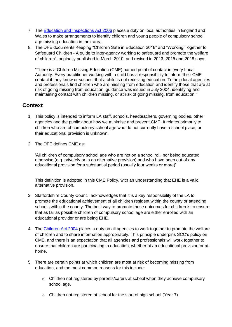- 7. The [Education and Inspections Act 2006](https://www.legislation.gov.uk/ukpga/2006/40/contents) places a duty on local authorities in England and Wales to make arrangements to identify children and young people of compulsory school age missing education in their area.
- 8. The DFE documents Keeping "Children Safe in Education 2018" and "Working Together to Safeguard Children - A guide to inter-agency working to safeguard and promote the welfare of children", originally published in March 2010, and revised in 2013, 2015 and 2018 says:

"There is a Children Missing Education (CME) named point of contact in every Local Authority. Every practitioner working with a child has a responsibility to inform their CME contact if they know or suspect that a child is not receiving education. To help local agencies and professionals find children who are missing from education and identify those that are at risk of going missing from education, guidance was issued in July 2004, identifying and maintaining contact with children missing, or at risk of going missing, from education."

## **Context**

- 1. This policy is intended to inform LA staff, schools, headteachers, governing bodies, other agencies and the public about how we minimise and prevent CME. It relates primarily to children who are of compulsory school age who do not currently have a school place, or their educational provision is unknown.
- 2. The DFE defines CME as:

'All children of compulsory school age who are not on a school roll, nor being educated otherwise (e.g. privately or in an alternative provision) and who have been out of any educational provision for a substantial period (usually four weeks or more)'

This definition is adopted in this CME Policy, with an understanding that EHE is a valid alternative provision.

- 3. Staffordshire County Council acknowledges that it is a key responsibility of the LA to promote the educational achievement of all children resident within the county or attending schools within the county. The best way to promote these outcomes for children is to ensure that as far as possible children of compulsory school age are either enrolled with an educational provider or are being EHE.
- 4. The [Children Act 2004](https://www.legislation.gov.uk/ukpga/2004/31/contents) places a duty on all agencies to work together to promote the welfare of children and to share information appropriately. This principle underpins SCC's policy on CME, and there is an expectation that all agencies and professionals will work together to ensure that children are participating in education, whether at an educational provision or at home.
- 5. There are certain points at which children are most at risk of becoming missing from education, and the most common reasons for this include:
	- $\circ$  Children not registered by parents/carers at school when they achieve compulsory school age.
	- o Children not registered at school for the start of high school (Year 7).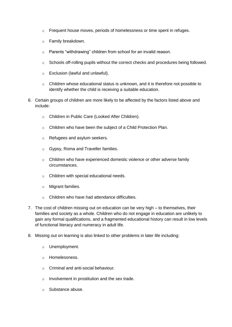- $\circ$  Frequent house moves, periods of homelessness or time spent in refuges.
- o Family breakdown.
- o Parents "withdrawing" children from school for an invalid reason.
- o Schools off-rolling pupils without the correct checks and procedures being followed.
- o Exclusion (lawful and unlawful).
- $\circ$  Children whose educational status is unknown, and it is therefore not possible to identify whether the child is receiving a suitable education.
- 6. Certain groups of children are more likely to be affected by the factors listed above and include:
	- o Children in Public Care (Looked After Children).
	- o Children who have been the subject of a Child Protection Plan.
	- o Refugees and asylum seekers.
	- o Gypsy, Roma and Traveller families.
	- $\circ$  Children who have experienced domestic violence or other adverse family circumstances.
	- o Children with special educational needs.
	- o Migrant families.
	- o Children who have had attendance difficulties.
- 7. The cost of children missing out on education can be very high to themselves, their families and society as a whole. Children who do not engage in education are unlikely to gain any formal qualifications, and a fragmented educational history can result in low levels of functional literacy and numeracy in adult life.
- 8. Missing out on learning is also linked to other problems in later life including:
	- o Unemployment.
	- o Homelessness.
	- o Criminal and anti-social behaviour.
	- o Involvement in prostitution and the sex trade.
	- o Substance abuse.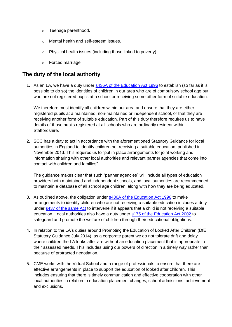- o Teenage parenthood.
- o Mental health and self-esteem issues.
- o Physical health issues (including those linked to poverty).
- o Forced marriage.

## **The duty of the local authority**

1. As an LA, we have a duty under [s436A of the Education Act 1996](https://www.legislation.gov.uk/ukpga/1996/56/section/436A) to establish (so far as it is possible to do so) the identities of children in our area who are of compulsory school age but who are not registered pupils at a school or receiving some other form of suitable education.

We therefore must identify all children within our area and ensure that they are either registered pupils at a maintained, non-maintained or independent school, or that they are receiving another form of suitable education. Part of this duty therefore requires us to have details of those pupils registered at all schools who are ordinarily resident within Staffordshire.

2. SCC has a duty to act in accordance with the aforementioned Statutory Guidance for local authorities in England to identify children not receiving a suitable education, published in November 2013. This requires us to "put in place arrangements for joint working and information sharing with other local authorities and relevant partner agencies that come into contact with children and families".

The guidance makes clear that such "partner agencies" will include all types of education providers both maintained and independent schools, and local authorities are recommended to maintain a database of all school age children, along with how they are being educated.

- 3. As outlined above, the obligation under [s436A of the Education Act 1996](https://www.legislation.gov.uk/ukpga/1996/56/section/436A) to make arrangements to identify children who are not receiving a suitable education includes a duty under [s437 of the same Act](https://www.legislation.gov.uk/ukpga/1996/56/section/437) to intervene if it appears that a child is not receiving a suitable education. Local authorities also have a duty under [s175 of the Education Act 2002](https://www.legislation.gov.uk/ukpga/2002/32/section/175) to safeguard and promote the welfare of children through their educational obligations.
- 4. In relation to the LA's duties around Promoting the Education of Looked After Children (DfE Statutory Guidance July 2014), as a corporate parent we do not tolerate drift and delay where children the LA looks after are without an education placement that is appropriate to their assessed needs. This includes using our powers of direction in a timely way rather than because of protracted negotiation.
- 5. CME works with the Virtual School and a range of professionals to ensure that there are effective arrangements in place to support the education of looked after children. This includes ensuring that there is timely communication and effective cooperation with other local authorities in relation to education placement changes, school admissions, achievement and exclusions.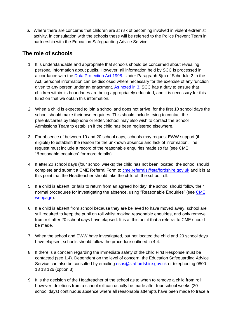6. Where there are concerns that children are at risk of becoming involved in violent extremist activity, in consultation with the schools these will be referred to the Police Prevent Team in partnership with the Education Safeguarding Advice Service.

## **The role of schools**

- 1. It is understandable and appropriate that schools should be concerned about revealing personal information about pupils. However, all information held by SCC is processed in accordance with the [Data Protection Act 1998.](https://www.legislation.gov.uk/ukpga/1998/29/contents) Under Paragraph 5(c) of Schedule 2 to the Act, personal information can be disclosed where necessary for the exercise of any function given to any person under an enactment. [As noted in 3,](https://www.staffordshire.gov.uk/education/welfareservice/missing/CME-policy/Children-Missing-Education-policy.aspx#Thedutyofthelocalauthority) SCC has a duty to ensure that children within its boundaries are being appropriately educated, and it is necessary for this function that we obtain this information.
- 2. When a child is expected to join a school and does not arrive, for the first 10 school days the school should make their own enquiries. This should include trying to contact the parents/carers by telephone or letter. School may also wish to contact the School Admissions Team to establish if the child has been registered elsewhere.
- 3. For absence of between 10 and 20 school days, schools may request EWW support (if eligible) to establish the reason for the unknown absence and lack of information. The request must include a record of the reasonable enquiries made so far (see CME "Reasonable enquiries" for more details).
- 4. If after 20 school days (four school weeks) the child has not been located, the school should complete and submit a CME Referral Form to **[cme.referrals@staffordshire.gov.uk](mailto:cme.referrals@staffordshire.gov.uk)** and it is at this point that the Headteacher should take the child off the school roll.
- 5. If a child is absent, or fails to return from an agreed holiday, the school should follow their normal procedures for investigating the absence, using "Reasonable Enquiries" (see CME [webpage\)](https://www.staffordshire.gov.uk/education/welfareservice/missing/CME.aspx).
- 6. If a child is absent from school because they are believed to have moved away, school are still required to keep the pupil on roll whilst making reasonable enquiries, and only remove from roll after 20 school days have elapsed. It is at this point that a referral to CME should be made.
- 7. When the school and EWW have investigated, but not located the child and 20 school days have elapsed, schools should follow the procedure outlined in 4.4.
- 8. If there is a concern regarding the immediate safety of the child First Response must be contacted (see 1.4). Dependent on the level of concern, the Education Safeguarding Advice Service can also be consulted by emailing [esas@staffordshire.gov.uk](mailto:esas@staffordshire.gov.uk) or telephoning 0800 13 13 126 (option 3).
- 9. It is the decision of the Headteacher of the school as to when to remove a child from roll; however, deletions from a school roll can usually be made after four school weeks (20 school days) continuous absence where all reasonable attempts have been made to trace a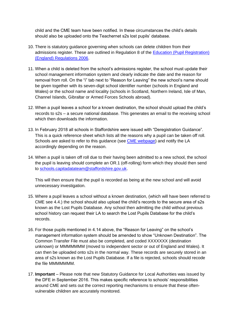child and the CME team have been notified. In these circumstances the child's details should also be uploaded onto the Teachernet s2s lost pupils' database.

- 10. There is statutory guidance governing when schools can delete children from their admissions register. These are outlined in Regulation 8 of the [Education \(Pupil Registration\)](http://www.legislation.gov.uk/uksi/2006/1751/regulation/8/made)  [\(England\) Regulations 2006.](http://www.legislation.gov.uk/uksi/2006/1751/regulation/8/made)
- 11. When a child is deleted from the school's admissions register, the school must update their school management information system and clearly indicate the date and the reason for removal from roll. On the "i" tab next to "Reason for Leaving" the new school's name should be given together with its seven-digit school identifier number (schools in England and Wales) or the school name and locality (schools in Scotland, Northern Ireland, Isle of Man, Channel Islands, Gibraltar or Armed Forces Schools abroad).
- 12. When a pupil leaves a school for a known destination, the school should upload the child's records to s2s – a secure national database. This generates an email to the receiving school which then downloads the information.
- 13. In February 2018 all schools in Staffordshire were issued with "Deregistration Guidance". This is a quick reference sheet which lists all the reasons why a pupil can be taken off roll. Schools are asked to refer to this guidance (see [CME webpage\)](https://www.staffordshire.gov.uk/education/welfareservice/missing/CME.aspx) and notify the LA accordingly depending on the reason.
- 14. When a pupil is taken off roll due to their having been admitted to a new school, the school the pupil is leaving should complete an OR.1 (off-rolling) form which they should then send to [schools.capitadatateam@staffordshire.gov.uk.](mailto:schools.capitadatateam@staffordshire.gov.uk)

This will then ensure that the pupil is recorded as being at the new school and will avoid unnecessary investigation.

- 15. Where a pupil leaves a school without a known destination, (which will have been referred to CME see 4.4.) the school should also upload the child's records to the secure area of s2s known as the Lost Pupils Database. Any school then admitting the child without previous school history can request their LA to search the Lost Pupils Database for the child's records.
- 16. For those pupils mentioned in 4.14 above, the "Reason for Leaving" on the school's management information system should be amended to show "Unknown Destination". The Common Transfer File must also be completed, and coded XXXXXXX (destination unknown) or MMMMMMM (moved to independent sector or out of England and Wales). It can then be uploaded onto s2s in the normal way. These records are securely stored in an area of s2s known as the Lost Pupils Database. If a file is rejected, schools should recode the file MMMMMMM.
- 17. **Important** Please note that new Statutory Guidance for Local Authorities was issued by the DFE in September 2016. This makes specific reference to schools' responsibilities around CME and sets out the correct reporting mechanisms to ensure that these oftenvulnerable children are accurately monitored.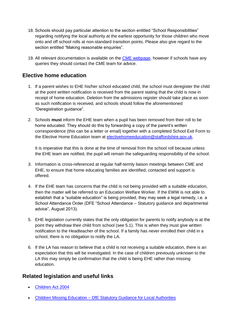- 18. Schools should pay particular attention to the section entitled "School Responsibilities" regarding notifying the local authority at the earliest opportunity for those children who move onto and off school rolls at non-standard transition points. Please also give regard to the section entitled "Making reasonable enquiries".
- 19. All relevant documentation is available on the [CME webpage,](https://www.staffordshire.gov.uk/education/welfareservice/missing/CME.aspx) however if schools have any queries they should contact the CME team for advice.

## **Elective home education**

- 1. If a parent wishes to EHE his/her school educated child, the school must deregister the child at the point written notification is received from the parent stating that the child is now in receipt of home education. Deletion from the admissions register should take place as soon as such notification is received, and schools should follow the aforementioned "Deregistration guidance".
- 2. Schools **must** inform the EHE team when a pupil has been removed from their roll to be home educated. They should do this by forwarding a copy of the parent's written correspondence (this can be a letter or email) together with a completed School Exit Form to the Elective Home Education team at [electivehomeeducation@staffordshire.gov.uk.](mailto:electivehomeeducation@staffordshire.gov.uk)

It is imperative that this is done at the time of removal from the school roll because unless the EHE team are notified, the pupil will remain the safeguarding responsibility of the school.

- 3. Information is cross-referenced at regular half-termly liaison meetings between CME and EHE, to ensure that home educating families are identified, contacted and support is offered.
- 4. If the EHE team has concerns that the child is not being provided with a suitable education, then the matter will be referred to an Education Welfare Worker. If the EWW is not able to establish that a "suitable education" is being provided, they may seek a legal remedy, i.e. a School Attendance Order (DFE "School Attendance – Statutory guidance and departmental advice", August 2013).
- 5. EHE legislation currently states that the only obligation for parents to notify anybody is at the point they withdraw their child from school (see 5.1). This is when they must give written notification to the Headteacher of the school. If a family has never enrolled their child in a school, there is no obligation to notify the LA.
- 6. If the LA has reason to believe that a child is not receiving a suitable education, there is an expectation that this will be investigated. In the case of children previously unknown to the LA this may simply be confirmation that the child is being EHE rather than missing education.

### **Related legislation and useful links**

- [Children Act 2004](http://www.legislation.gov.uk/ukpga/2004/31)
- Children Missing Education [DfE Statutory Guidance for Local Authorities](https://www.gov.uk/government/publications/children-missing-education)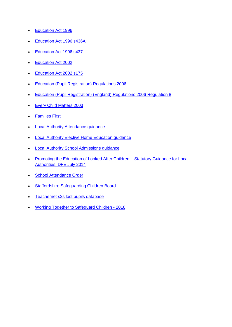- [Education Act 1996](http://www.legislation.gov.uk/ukpga/1996/56/contents)
- [Education Act 1996 s436A](http://www.legislation.gov.uk/ukpga/2006/40)
- [Education Act 1996 s437](http://www.legislation.gov.uk/ukpga/1996/56/contents)
- [Education Act 2002](http://www.legislation.gov.uk/ukpga/2002/32/contents)
- [Education Act 2002 s175](http://www.legislation.gov.uk/ukpga/2002/32/contents)
- [Education \(Pupil Registration\) Regulations 2006](http://www.legislation.gov.uk/uksi/2006/1751/contents/made)
- **[Education \(Pupil Registration\) \(England\) Regulations 2006 Regulation 8](http://www.legislation.gov.uk/uksi/2006/1751/contents/made)**
- [Every Child Matters 2003](https://www.gov.uk/government/publications/every-child-matters)
- [Families First](https://www.staffordshire.gov.uk/health/childrenandfamilycare/FamiliesFirstPartners/familiesfirsttherighthelpattherighttime.aspx)
- **[Local Authority Attendance guidance](https://www.staffordshire.gov.uk/education/welfareservice/Attendance/home.aspx)**
- [Local Authority Elective Home Education guidance](https://www.staffordshire.gov.uk/secure/Schools/Pupil-Support/Home-Education/Elective-Home-Education.aspx)
- [Local Authority School Admissions guidance](https://www.staffordshire.gov.uk/education/schoolsandcolleges/admissions/admissions.aspx)
- Promoting the Education of Looked After Children Statutory Guidance for Local [Authorities, DFE July 2014](https://www.gov.uk/government/publications/promoting-the-education-of-looked-after-children)
- [School Attendance Order](https://www.gov.uk/school-attendance-absence/legal-action-to-enforce-school-attendance)
- [Staffordshire Safeguarding Children Board](https://www.staffsscb.org.uk/Home.aspx)
- [Teachernet s2s lost pupils database](https://www.gov.uk/guidance/school-to-school-service-how-to-transfer-information)
- [Working Together to Safeguard Children -](https://www.gov.uk/government/publications/working-together-to-safeguard-children--2) 2018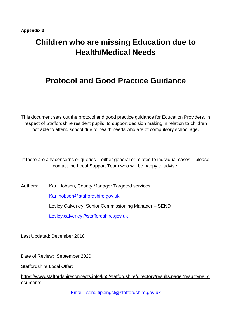# **Children who are missing Education due to Health/Medical Needs**

# **Protocol and Good Practice Guidance**

This document sets out the protocol and good practice guidance for Education Providers, in respect of Staffordshire resident pupils, to support decision making in relation to children not able to attend school due to health needs who are of compulsory school age.

If there are any concerns or queries – either general or related to individual cases – please contact the Local Support Team who will be happy to advise.

Authors: Karl Hobson, County Manager Targeted services

[Karl.hobson@staffordshire.gov.uk](mailto:Karl.hobson@staffordshire.gov.uk)

Lesley Calverley, Senior Commissioning Manager – SEND

[Lesley.calverley@staffordshire.gov.uk](mailto:Lesley.calverley@staffordshire.gov.uk)

Last Updated: December 2018

Date of Review: September 2020

Staffordshire Local Offer:

[https://www.staffordshireconnects.info/kb5/staffordshire/directory/results.page?resulttype=d](https://www.staffordshireconnects.info/kb5/staffordshire/directory/results.page?resulttype=documents) [ocuments](https://www.staffordshireconnects.info/kb5/staffordshire/directory/results.page?resulttype=documents) 

[Email: send.tippingst@staffordshire.gov.uk](mailto:Email:%20%20sendtippingst@staffordshire.gov.uk)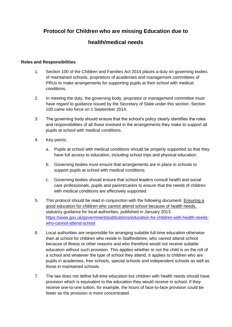# **Protocol for Children who are missing Education due to**

## **health/medical needs**

#### **Roles and Responsibilities**

- 1. Section 100 of the Children and Families Act 2014 places a duty on governing bodies of maintained schools, proprietors of academies and management committees of PRUs to make arrangements for supporting pupils at their school with medical conditions.
- 2. In meeting the duty, the governing body, proprietor or management committee must have regard to guidance issued by the Secretary of State under this section. Section 100 came into force on 1 September 2014.
- 3. The governing body should ensure that the school's policy clearly identifies the roles and responsibilities of all those involved in the arrangements they make to support all pupils at school with medical conditions.
- 4. Key points:
	- a. Pupils at school with medical conditions should be properly supported so that they have full access to education, including school trips and physical education.
	- b. Governing bodies must ensure that arrangements are in place in schools to support pupils at school with medical conditions.
	- c. Governing bodies should ensure that school leaders consult health and social care professionals, pupils and parent/carers to ensure that the needs of children with medical conditions are effectively supported.
- 5. This protocol should be read in conjunction with the following document: Ensuring a good education for children who cannot attend school because of health needs, statutory guidance for local authorities, published in January 2013. [https://www.gov.uk/government/publications/education-for-children-with-health-needs](https://www.gov.uk/government/publications/education-for-children-with-health-needs-who-cannot-attend-school)[who-cannot-attend-school](https://www.gov.uk/government/publications/education-for-children-with-health-needs-who-cannot-attend-school)
- 6. Local authorities are responsible for arranging suitable full-time education otherwise than at school for children who reside in Staffordshire, who cannot attend school because of illness or other reasons and who therefore would not receive suitable education without such provision. This applies whether or not the child is on the roll of a school and whatever the type of school they attend. It applies to children who are pupils in academies, free schools, special schools and independent schools as well as those in maintained schools.
- 7. The law does not define full-time education but children with health needs should have provision which is equivalent to the education they would receive in school. If they receive one-to-one tuition, for example, the hours of face-to-face provision could be fewer as the provision is more concentrated.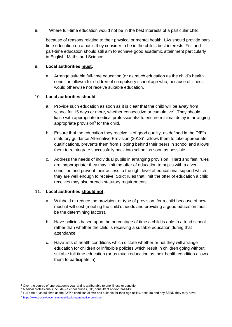8. Where full-time education would not be in the best interests of a particular child

because of reasons relating to their physical or mental health, LAs should provide parttime education on a basis they consider to be in the child's best interests. Full and part-time education should still aim to achieve good academic attainment particularly in English, Maths and Science.

#### 9. **Local authorities must:**

a. Arrange suitable full-time education (or as much education as the child's health condition allows) for children of compulsory school age who, because of illness, would otherwise not receive suitable education.

#### 10. **Local authorities should**:

- a. Provide such education as soon as it is clear that the child will be away from school for 15 days or more, whether consecutive or cumulative<sup>1</sup>. They should liaise with appropriate medical professionals<sup>2</sup> to ensure minimal delay in arranging appropriate provision<sup>3</sup> for the child.
- b. Ensure that the education they receive is of good quality, as defined in the DfE's statutory guidance Alternative Provision  $(2013)^4$ , allows them to take appropriate qualifications, prevents them from slipping behind their peers in school and allows them to reintegrate successfully back into school as soon as possible.
- c. Address the needs of individual pupils in arranging provision. 'Hard and fast' rules are inappropriate: they may limit the offer of education to pupils with a given condition and prevent their access to the right level of educational support which they are well enough to receive. Strict rules that limit the offer of education a child receives may also breach statutory requirements.

#### 11. **Local authorities should not:**

- a. Withhold or reduce the provision, or type of provision, for a child because of how much it will cost (meeting the child's needs and providing a good education must be the determining factors).
- b. Have policies based upon the percentage of time a child is able to attend school rather than whether the child is receiving a suitable education during that attendance.
- c. Have lists of health conditions which dictate whether or not they will arrange education for children or inflexible policies which result in children going without suitable full-time education (or as much education as their health condition allows them to participate in).

1

Over the course of one academic year and is attributable to one illness or condition

<sup>&</sup>lt;sup>2</sup> Medical professionals include – School nurses, GP, consultant and/or CAHMS

<sup>&</sup>lt;sup>3</sup> Full time or as full-time as the CYP's condition allows and suitable for their age ability, aptitude and any SEND they may have

<sup>4</sup> <https://www.gov.uk/government/publications/alternative-provision>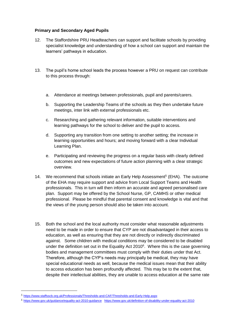#### **Primary and Secondary Aged Pupils**

- 12. The Staffordshire PRU Headteachers can support and facilitate schools by providing specialist knowledge and understanding of how a school can support and maintain the learners' pathways in education.
- 13. The pupil's home school leads the process however a PRU on request can contribute to this process through:
	- a. Attendance at meetings between professionals, pupil and parents/carers.
	- b. Supporting the Leadership Teams of the schools as they then undertake future meetings, inter link with external professionals etc.
	- c. Researching and gathering relevant information, suitable interventions and learning pathways for the school to deliver and the pupil to access.
	- d. Supporting any transition from one setting to another setting; the increase in learning opportunities and hours; and moving forward with a clear Individual Learning Plan.
	- e. Participating and reviewing the progress on a regular basis with clearly defined outcomes and new expectations of future action planning with a clear strategic overview.
- 14. We recommend that schools initiate an Early Help Assessment<sup>5</sup> (EHA). The outcome of the EHA may require support and advice from Local Support Teams and Health professionals. This in turn will then inform an accurate and agreed personalised care plan. Support may be offered by the School Nurse, GP, CAMHS or other medical professional. Please be mindful that parental consent and knowledge is vital and that the views of the young person should also be taken into account.
- 15. Both the school and the local authority must consider what reasonable adjustments need to be made in order to ensure that CYP are not disadvantaged in their access to education, as well as ensuring that they are not directly or indirectly discriminated against. Some children with medical conditions may be considered to be disabled under the definition set out in the Equality Act 2010<sup>6</sup>. Where this is the case governing bodies and management committees must comply with their duties under that Act. Therefore, although the CYP's needs may principally be medical, they may have special educational needs as well, because the medical issues mean that their ability to access education has been profoundly affected. This may be to the extent that, despite their intellectual abilities, they are unable to access education at the same rate

<u>.</u>

<sup>5</sup> <https://www.staffsscb.org.uk/Professionals/Thresholds-and-CAF/Thresholds-and-Early-Help.aspx>

<sup>6</sup> <https://www.gov.uk/guidance/equality-act-2010-guidance><https://www.gov.uk/definition-of-disability-under-equality-act-2010>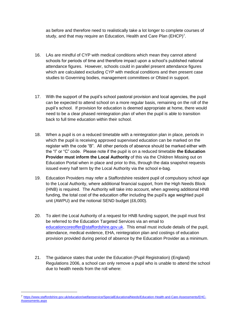as before and therefore need to realistically take a lot longer to complete courses of study, and that may require an Education, Health and Care Plan (EHCP)<sup>7</sup>.

- 16. LAs are mindful of CYP with medical conditions which mean they cannot attend schools for periods of time and therefore impact upon a school's published national attendance figures. However, schools could in parallel present attendance figures which are calculated excluding CYP with medical conditions and then present case studies to Governing bodies, management committees or Ofsted in support.
- 17. With the support of the pupil's school pastoral provision and local agencies, the pupil can be expected to attend school on a more regular basis, remaining on the roll of the pupil's school. If provision for education is deemed appropriate at home, there would need to be a clear phased reintegration plan of when the pupil is able to transition back to full time education within their school.
- 18. When a pupil is on a reduced timetable with a reintegration plan in place, periods in which the pupil is receiving approved supervised education can be marked on the register with the code "B". All other periods of absence should be marked either with the "I" or "C" code. Please note if the pupil is on a reduced timetable **the Education Provider must inform the Local Authority** of this via the Children Missing out on Education Portal when in place and prior to this, through the data snapshot requests issued every half term by the Local Authority via the school e-bag.
- 19. Education Providers may refer a Staffordshire resident pupil of compulsory school age to the Local Authority, where additional financial support, from the High Needs Block (HNB) is required. The Authority will take into account, when agreeing additional HNB funding, the total cost of the education offer including the pupil's age weighted pupil unit (AWPU) and the notional SEND budget (£6,000).
- 20. To alert the Local Authority of a request for HNB funding support, the pupil must first be referred to the Education Targeted Services via an email to [educationcoreoffer@staffordshire.gov.uk.](mailto:educationcoreoffer@staffordshire.gov.uk) This email must include details of the pupil, attendance, medical evidence, EHA, reintegration plan and costings of education provision provided during period of absence by the Education Provider as a minimum.
- 21. The guidance states that under the Education (Pupil Registration) (England) Regulations 2006, a school can only remove a pupil who is unable to attend the school due to health needs from the roll where:

<u>.</u>

<sup>7</sup> [https://www.staffordshire.gov.uk/education/welfareservice/SpecialEducationalNeeds/Education-Health-and-Care-Assessments/EHC-](https://www.staffordshire.gov.uk/education/welfareservice/SpecialEducationalNeeds/Education-Health-and-Care-Assessments/EHC-Assessments.aspx)[Assessments.aspx](https://www.staffordshire.gov.uk/education/welfareservice/SpecialEducationalNeeds/Education-Health-and-Care-Assessments/EHC-Assessments.aspx)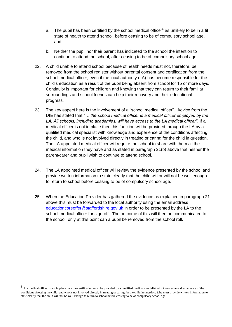- a. The pupil has been certified by the school medical officer<sup>8</sup> as unlikely to be in a fit state of health to attend school, before ceasing to be of compulsory school age, and
- b. Neither the pupil nor their parent has indicated to the school the intention to continue to attend the school, after ceasing to be of compulsory school age
- 22. A child unable to attend school because of health needs must not, therefore, be removed from the school register without parental consent and certification from the school medical officer, even if the local authority (LA) has become responsible for the child's education as a result of the pupil being absent from school for 15 or more days. Continuity is important for children and knowing that they can return to their familiar surroundings and school friends can help their recovery and their educational progress.
- 23. The key aspect here is the involvement of a "school medical officer". Advice from the DfE has stated that *"… the school medical officer is a medical officer employed by the LA. All schools, including academies, will have access to the LA medical officer"*. If a medical officer is not in place then this function will be provided through the LA by a qualified medical specialist with knowledge and experience of the conditions affecting the child, and who is not involved directly in treating or caring for the child in question. The LA appointed medical officer will require the school to share with them all the medical information they have and as stated in paragraph 21(b) above that neither the parent/carer and pupil wish to continue to attend school.
- 24. The LA appointed medical officer will review the evidence presented by the school and provide written information to state clearly that the child will or will not be well enough to return to school before ceasing to be of compulsory school age.
- 25. When the Education Provider has gathered the evidence as explained in paragraph 21 above this must be forwarded to the local authority using the email address [educationcoreoffer@staffordshire.gov.uk](mailto:educationcoreoffer@staffordshire.gov.uk) in order to be presented by the LA to the school medical officer for sign-off. The outcome of this will then be communicated to the school, only at this point can a pupil be removed from the school roll.

1

<sup>&</sup>lt;sup>8</sup> If a medical officer is not in place then the certification must be provided by a qualified medical specialist with knowledge and experience of the conditions affecting the child, and who is not involved directly in treating or caring for the child in question. S/he must provide written information to state clearly that the child will not be well enough to return to school before ceasing to be of compulsory school age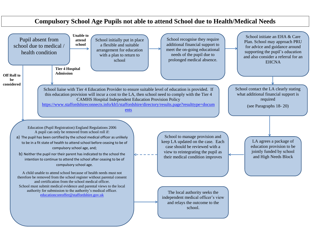# School initiate an EHA & Care Plan. School may approach PRU for advice and guidance around supporting the pupil's education and also consider a referral for an **EHCNA** School contact the LA clearly stating what additional financial support is required (see Paragraphs 18- 20) LA agrees a package of education provision to be jointly funded by school and High Needs Block



# **Compulsory School Age Pupils not able to attend School due to Health/Medical Needs**